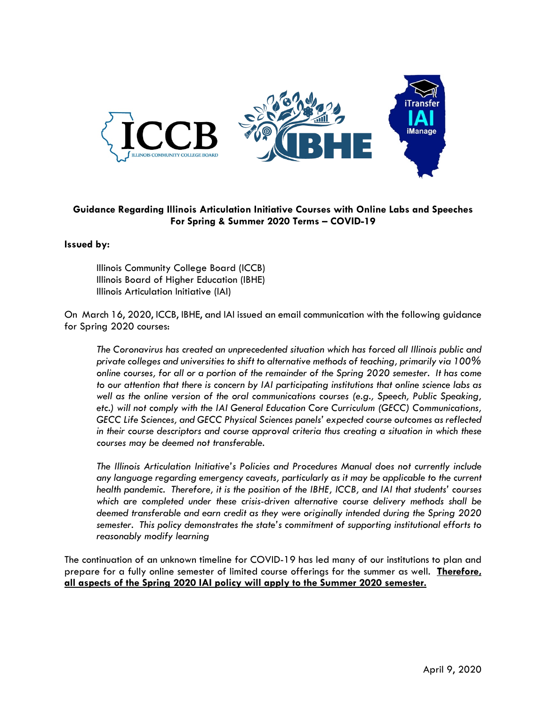

## **Guidance Regarding Illinois Articulation Initiative Courses with Online Labs and Speeches For Spring & Summer 2020 Terms – COVID-19**

## **Issued by:**

Illinois Community College Board (ICCB) Illinois Board of Higher Education (IBHE) Illinois Articulation Initiative (IAI)

On March 16, 2020, ICCB, IBHE, and IAI issued an email communication with the following guidance for Spring 2020 courses:

*The Coronavirus has created an unprecedented situation which has forced all Illinois public and private colleges and universities to shift to alternative methods of teaching, primarily via 100% online courses, for all or a portion of the remainder of the Spring 2020 semester. It has come to our attention that there is concern by IAI participating institutions that online science labs as well as the online version of the oral communications courses (e.g., Speech, Public Speaking, etc.) will not comply with the IAI General Education Core Curriculum (GECC) Communications, GECC Life Sciences, and GECC Physical Sciences panels' expected course outcomes as reflected in their course descriptors and course approval criteria thus creating a situation in which these courses may be deemed not transferable.* 

*The Illinois Articulation Initiative's Policies and Procedures Manual does not currently include any language regarding emergency caveats, particularly as it may be applicable to the current health pandemic. Therefore, it is the position of the IBHE, ICCB, and IAI that students' courses which are completed under these crisis-driven alternative course delivery methods shall be deemed transferable and earn credit as they were originally intended during the Spring 2020 semester. This policy demonstrates the state's commitment of supporting institutional efforts to reasonably modify learning*

The continuation of an unknown timeline for COVID-19 has led many of our institutions to plan and prepare for a fully online semester of limited course offerings for the summer as well. **Therefore, all aspects of the Spring 2020 IAI policy will apply to the Summer 2020 semester.**